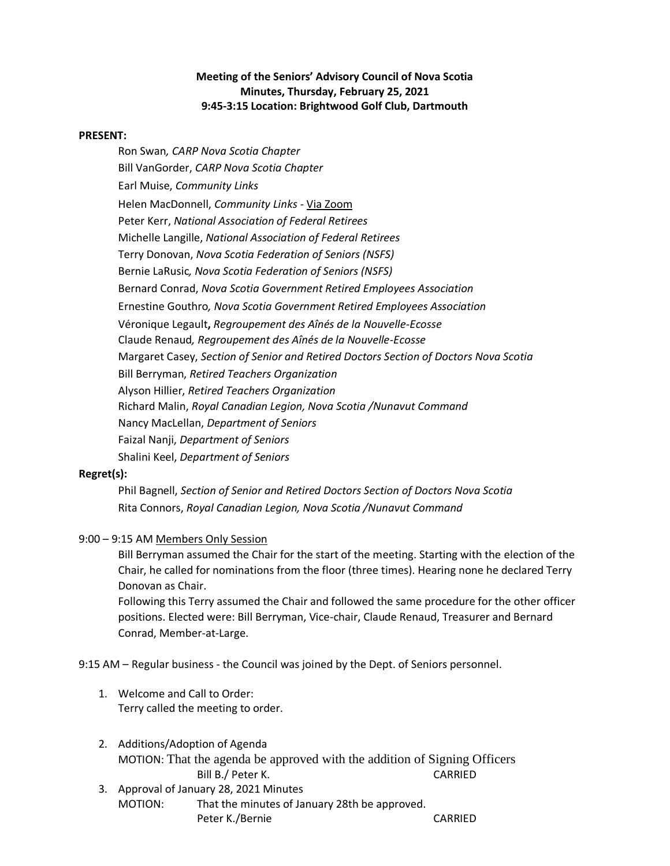# **Meeting of the Seniors' Advisory Council of Nova Scotia Minutes, Thursday, February 25, 2021 9:45-3:15 Location: Brightwood Golf Club, Dartmouth**

#### **PRESENT:**

Ron Swan*, CARP Nova Scotia Chapter* Bill VanGorder, *CARP Nova Scotia Chapter* Earl Muise, *Community Links* Helen MacDonnell, *Community Links* - Via Zoom Peter Kerr, *National Association of Federal Retirees* Michelle Langille, *National Association of Federal Retirees*  Terry Donovan, *Nova Scotia Federation of Seniors (NSFS)* Bernie LaRusic*, Nova Scotia Federation of Seniors (NSFS)* Bernard Conrad, *Nova Scotia Government Retired Employees Association* Ernestine Gouthro*, Nova Scotia Government Retired Employees Association* Véronique Legault**,** *Regroupement des Aînés de la Nouvelle-Ecosse* Claude Renaud*, Regroupement des Aînés de la Nouvelle-Ecosse* Margaret Casey, *Section of Senior and Retired Doctors Section of Doctors Nova Scotia* Bill Berryman, *Retired Teachers Organization* Alyson Hillier, *Retired Teachers Organization* Richard Malin, *Royal Canadian Legion, Nova Scotia /Nunavut Command* Nancy MacLellan, *Department of Seniors* Faizal Nanji, *Department of Seniors* Shalini Keel, *Department of Seniors*

# **Regret(s):**

Phil Bagnell, *Section of Senior and Retired Doctors Section of Doctors Nova Scotia*  Rita Connors, *Royal Canadian Legion, Nova Scotia /Nunavut Command*

# 9:00 – 9:15 AM Members Only Session

Bill Berryman assumed the Chair for the start of the meeting. Starting with the election of the Chair, he called for nominations from the floor (three times). Hearing none he declared Terry Donovan as Chair.

Following this Terry assumed the Chair and followed the same procedure for the other officer positions. Elected were: Bill Berryman, Vice-chair, Claude Renaud, Treasurer and Bernard Conrad, Member-at-Large.

9:15 AM – Regular business - the Council was joined by the Dept. of Seniors personnel.

- 1. Welcome and Call to Order: Terry called the meeting to order.
- 2. Additions/Adoption of Agenda MOTION: That the agenda be approved with the addition of Signing Officers Bill B./ Peter K. CARRIED
- 3. Approval of January 28, 2021 Minutes MOTION: That the minutes of January 28th be approved. Peter K./Bernie CARRIED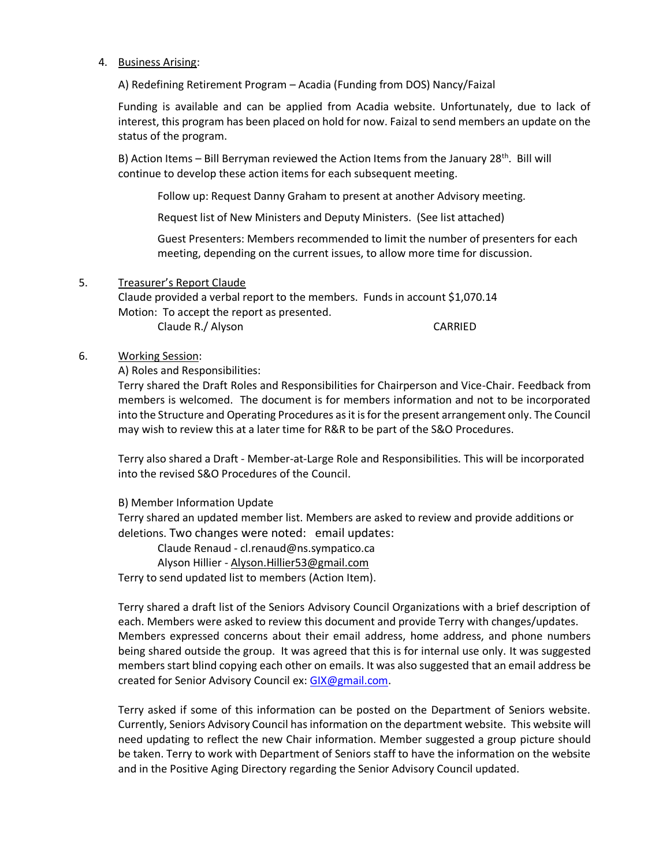#### 4. Business Arising:

A) Redefining Retirement Program – Acadia (Funding from DOS) Nancy/Faizal

Funding is available and can be applied from Acadia website. Unfortunately, due to lack of interest, this program has been placed on hold for now. Faizal to send members an update on the status of the program.

B) Action Items – Bill Berryman reviewed the Action Items from the January 28<sup>th</sup>. Bill will continue to develop these action items for each subsequent meeting.

Follow up: Request Danny Graham to present at another Advisory meeting.

Request list of New Ministers and Deputy Ministers. (See list attached)

Guest Presenters: Members recommended to limit the number of presenters for each meeting, depending on the current issues, to allow more time for discussion.

#### 5. Treasurer's Report Claude

Claude provided a verbal report to the members. Funds in account \$1,070.14 Motion:To accept the report as presented.

Claude R./ Alyson CARRIED

### 6. Working Session:

A) Roles and Responsibilities:

Terry shared the Draft Roles and Responsibilities for Chairperson and Vice-Chair. Feedback from members is welcomed. The document is for members information and not to be incorporated into the Structure and Operating Procedures as it is for the present arrangement only. The Council may wish to review this at a later time for R&R to be part of the S&O Procedures.

Terry also shared a Draft - Member-at-Large Role and Responsibilities. This will be incorporated into the revised S&O Procedures of the Council.

B) Member Information Update

Terry shared an updated member list. Members are asked to review and provide additions or deletions. Two changes were noted: email updates:

Claude Renaud - cl.renaud@ns.sympatico.ca

Alyson Hillier - [Alyson.Hillier53@gmail.com](mailto:Alyson.Hillier53@gmail.com) 

Terry to send updated list to members (Action Item).

Terry shared a draft list of the Seniors Advisory Council Organizations with a brief description of each. Members were asked to review this document and provide Terry with changes/updates. Members expressed concerns about their email address, home address, and phone numbers being shared outside the group. It was agreed that this is for internal use only. It was suggested members start blind copying each other on emails. It was also suggested that an email address be created for Senior Advisory Council ex: [GIX@gmail.com.](mailto:GIX@gmail.com)

Terry asked if some of this information can be posted on the Department of Seniors website. Currently, Seniors Advisory Council has information on the department website. This website will need updating to reflect the new Chair information. Member suggested a group picture should be taken. Terry to work with Department of Seniors staff to have the information on the website and in the Positive Aging Directory regarding the Senior Advisory Council updated.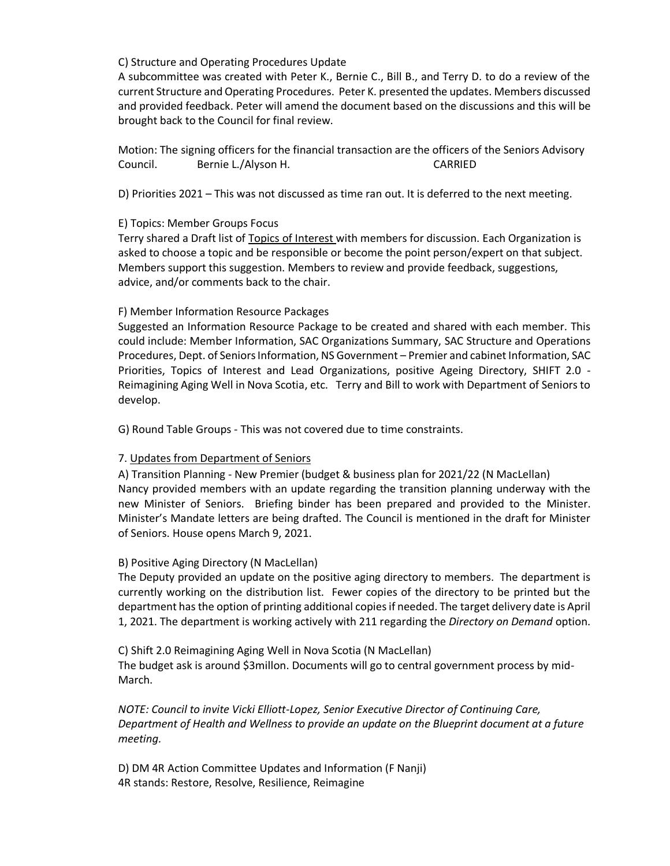### C) Structure and Operating Procedures Update

A subcommittee was created with Peter K., Bernie C., Bill B., and Terry D. to do a review of the current Structure and Operating Procedures. Peter K. presented the updates. Members discussed and provided feedback. Peter will amend the document based on the discussions and this will be brought back to the Council for final review.

Motion: The signing officers for the financial transaction are the officers of the Seniors Advisory Council. Bernie L./Alyson H. CARRIED

D) Priorities 2021 – This was not discussed as time ran out. It is deferred to the next meeting.

# E) Topics: Member Groups Focus

Terry shared a Draft list of Topics of Interest with members for discussion. Each Organization is asked to choose a topic and be responsible or become the point person/expert on that subject. Members support this suggestion. Members to review and provide feedback, suggestions, advice, and/or comments back to the chair.

# F) Member Information Resource Packages

Suggested an Information Resource Package to be created and shared with each member. This could include: Member Information, SAC Organizations Summary, SAC Structure and Operations Procedures, Dept. of Seniors Information, NS Government – Premier and cabinet Information, SAC Priorities, Topics of Interest and Lead Organizations, positive Ageing Directory, SHIFT 2.0 - Reimagining Aging Well in Nova Scotia, etc. Terry and Bill to work with Department of Seniors to develop.

G) Round Table Groups - This was not covered due to time constraints.

# 7. Updates from Department of Seniors

A) Transition Planning - New Premier (budget & business plan for 2021/22 (N MacLellan) Nancy provided members with an update regarding the transition planning underway with the new Minister of Seniors. Briefing binder has been prepared and provided to the Minister. Minister's Mandate letters are being drafted. The Council is mentioned in the draft for Minister of Seniors. House opens March 9, 2021.

# B) Positive Aging Directory (N MacLellan)

The Deputy provided an update on the positive aging directory to members. The department is currently working on the distribution list. Fewer copies of the directory to be printed but the department has the option of printing additional copies if needed. The target delivery date is April 1, 2021. The department is working actively with 211 regarding the *Directory on Demand* option.

C) Shift 2.0 Reimagining Aging Well in Nova Scotia (N MacLellan) The budget ask is around \$3millon. Documents will go to central government process by mid-March.

*NOTE: Council to invite Vicki Elliott-Lopez, Senior Executive Director of Continuing Care, Department of Health and Wellness to provide an update on the Blueprint document at a future meeting.*

D) DM 4R Action Committee Updates and Information (F Nanji) 4R stands: Restore, Resolve, Resilience, Reimagine